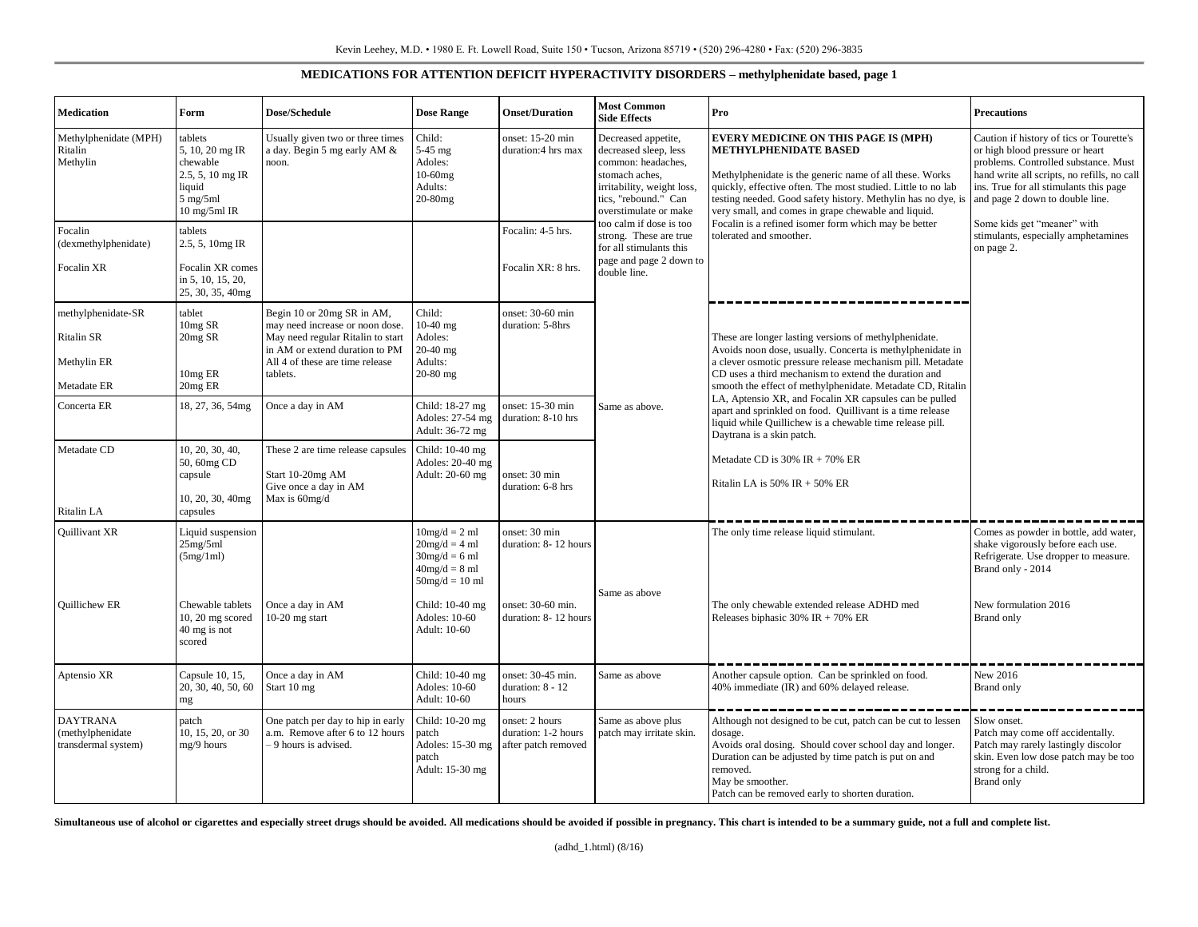## **MEDICATIONS FOR ATTENTION DEFICIT HYPERACTIVITY DISORDERS – methylphenidate based, page 1**

| <b>Medication</b>                                              | Form                                                                                                     | Dose/Schedule                                                                                                                                                                       | <b>Dose Range</b>                                                                            | <b>Onset/Duration</b>                                        | <b>Most Common</b><br><b>Side Effects</b>                                                                                                                                                                                                                                                                        | Pro                                                                                                                                                                                                                                                                                                                                                                                                                                                                                                                                                                                                                                                                                                                                                                                                                                                                                                                                                                                                                    | <b>Precautions</b>                                                                                                                                                                                                                              |
|----------------------------------------------------------------|----------------------------------------------------------------------------------------------------------|-------------------------------------------------------------------------------------------------------------------------------------------------------------------------------------|----------------------------------------------------------------------------------------------|--------------------------------------------------------------|------------------------------------------------------------------------------------------------------------------------------------------------------------------------------------------------------------------------------------------------------------------------------------------------------------------|------------------------------------------------------------------------------------------------------------------------------------------------------------------------------------------------------------------------------------------------------------------------------------------------------------------------------------------------------------------------------------------------------------------------------------------------------------------------------------------------------------------------------------------------------------------------------------------------------------------------------------------------------------------------------------------------------------------------------------------------------------------------------------------------------------------------------------------------------------------------------------------------------------------------------------------------------------------------------------------------------------------------|-------------------------------------------------------------------------------------------------------------------------------------------------------------------------------------------------------------------------------------------------|
| Methylphenidate (MPH)<br>Ritalin<br>Methylin                   | tablets<br>5, 10, 20 mg IR<br>chewable<br>2.5, 5, 10 mg IR<br>liquid<br>$5$ mg/ $5$ ml<br>$10$ mg/5ml IR | Usually given two or three times<br>a day. Begin 5 mg early AM &<br>noon.                                                                                                           | Child:<br>5-45 mg<br>Adoles:<br>10-60mg<br>Adults:<br>20-80mg                                | onset: 15-20 min<br>duration:4 hrs max                       | Decreased appetite,<br>decreased sleep, less<br>common: headaches,<br>stomach aches,<br>irritability, weight loss.<br>tics, "rebound." Can<br>overstimulate or make<br>too calm if dose is too<br>strong. These are true<br>for all stimulants this<br>page and page 2 down to<br>double line.<br>Same as above. | <b>EVERY MEDICINE ON THIS PAGE IS (MPH)</b><br><b>METHYLPHENIDATE BASED</b><br>Methylphenidate is the generic name of all these. Works<br>quickly, effective often. The most studied. Little to no lab<br>testing needed. Good safety history. Methylin has no dye, is<br>very small, and comes in grape chewable and liquid.<br>Focalin is a refined isomer form which may be better<br>tolerated and smoother.<br>These are longer lasting versions of methylphenidate.<br>Avoids noon dose, usually. Concerta is methylphenidate in<br>a clever osmotic pressure release mechanism pill. Metadate<br>CD uses a third mechanism to extend the duration and<br>smooth the effect of methylphenidate. Metadate CD, Ritalin<br>LA, Aptensio XR, and Focalin XR capsules can be pulled<br>apart and sprinkled on food. Quillivant is a time release<br>liquid while Quillichew is a chewable time release pill.<br>Daytrana is a skin patch.<br>Metadate CD is $30\%$ IR + 70% ER<br>Ritalin LA is $50\%$ IR + $50\%$ ER | Caution if history of tics or Tourette's<br>or high blood pressure or heart<br>problems. Controlled substance. Must<br>hand write all scripts, no refills, no call<br>ins. True for all stimulants this page<br>and page 2 down to double line. |
| Focalin<br>(dexmethylphenidate)<br>Focalin XR                  | tablets<br>2.5, 5, 10mg IR<br>Focalin XR comes<br>in 5, 10, 15, 20,<br>25, 30, 35, 40mg                  |                                                                                                                                                                                     |                                                                                              | Focalin: 4-5 hrs.<br>Focalin XR: 8 hrs.                      |                                                                                                                                                                                                                                                                                                                  |                                                                                                                                                                                                                                                                                                                                                                                                                                                                                                                                                                                                                                                                                                                                                                                                                                                                                                                                                                                                                        | Some kids get "meaner" with<br>stimulants, especially amphetamines<br>on page 2.                                                                                                                                                                |
| methylphenidate-SR<br>Ritalin SR<br>Methylin ER<br>Metadate ER | tablet<br>10mg SR<br>20mg SR<br>10mg ER<br>20mg ER                                                       | Begin 10 or 20mg SR in AM,<br>may need increase or noon dose.<br>May need regular Ritalin to start<br>in AM or extend duration to PM<br>All 4 of these are time release<br>tablets. | Child:<br>$10-40$ mg<br>Adoles:<br>20-40 mg<br>Adults:<br>$20-80$ mg                         | onset: 30-60 min<br>duration: 5-8hrs                         |                                                                                                                                                                                                                                                                                                                  |                                                                                                                                                                                                                                                                                                                                                                                                                                                                                                                                                                                                                                                                                                                                                                                                                                                                                                                                                                                                                        |                                                                                                                                                                                                                                                 |
| Concerta ER                                                    | 18, 27, 36, 54mg                                                                                         | Once a day in AM                                                                                                                                                                    | Child: 18-27 mg<br>Adoles: 27-54 mg<br>Adult: 36-72 mg                                       | onset: 15-30 min<br>duration: 8-10 hrs                       |                                                                                                                                                                                                                                                                                                                  |                                                                                                                                                                                                                                                                                                                                                                                                                                                                                                                                                                                                                                                                                                                                                                                                                                                                                                                                                                                                                        |                                                                                                                                                                                                                                                 |
| Metadate CD<br>Ritalin LA                                      | 10, 20, 30, 40,<br>50, 60mg CD<br>capsule<br>10, 20, 30, 40mg<br>capsules                                | These 2 are time release capsules<br>Start 10-20mg AM<br>Give once a day in AM<br>Max is 60mg/d                                                                                     | Child: 10-40 mg<br>Adoles: 20-40 mg<br>Adult: 20-60 mg                                       | onset: 30 min<br>duration: 6-8 hrs                           |                                                                                                                                                                                                                                                                                                                  |                                                                                                                                                                                                                                                                                                                                                                                                                                                                                                                                                                                                                                                                                                                                                                                                                                                                                                                                                                                                                        |                                                                                                                                                                                                                                                 |
| Quillivant XR                                                  | Liquid suspension<br>25mg/5ml<br>(5mg/1ml)                                                               |                                                                                                                                                                                     | $10mg/d = 2 ml$<br>$20mg/d = 4 ml$<br>$30mg/d = 6 ml$<br>$40mg/d = 8 ml$<br>$50mg/d = 10 ml$ | onset: 30 min<br>duration: 8-12 hours                        |                                                                                                                                                                                                                                                                                                                  | The only time release liquid stimulant.                                                                                                                                                                                                                                                                                                                                                                                                                                                                                                                                                                                                                                                                                                                                                                                                                                                                                                                                                                                | Comes as powder in bottle, add water,<br>shake vigorously before each use.<br>Refrigerate. Use dropper to measure.<br>Brand only - 2014                                                                                                         |
| <b>Ouillichew ER</b>                                           | Chewable tablets<br>$10, 20$ mg scored<br>40 mg is not<br>scored                                         | Once a day in AM<br>$10-20$ mg start                                                                                                                                                | Child: 10-40 mg<br>Adoles: 10-60<br>Adult: 10-60                                             | onset: 30-60 min.<br>duration: 8-12 hours                    | Same as above                                                                                                                                                                                                                                                                                                    | The only chewable extended release ADHD med<br>Releases biphasic $30\%$ IR + 70% ER                                                                                                                                                                                                                                                                                                                                                                                                                                                                                                                                                                                                                                                                                                                                                                                                                                                                                                                                    | New formulation 2016<br>Brand only                                                                                                                                                                                                              |
| Aptensio XR                                                    | Capsule 10, 15,<br>20, 30, 40, 50, 60<br>mg                                                              | Once a day in AM<br>Start 10 mg                                                                                                                                                     | Child: 10-40 mg<br>Adoles: 10-60<br>Adult: 10-60                                             | onset: 30-45 min.<br>duration: 8 - 12<br>hours               | Same as above                                                                                                                                                                                                                                                                                                    | Another capsule option. Can be sprinkled on food.<br>40% immediate (IR) and 60% delayed release.                                                                                                                                                                                                                                                                                                                                                                                                                                                                                                                                                                                                                                                                                                                                                                                                                                                                                                                       | New 2016<br>Brand only                                                                                                                                                                                                                          |
| <b>DAYTRANA</b><br>(methylphenidate<br>transdermal system)     | patch<br>10, 15, 20, or 30<br>mg/9 hours                                                                 | One patch per day to hip in early<br>a.m. Remove after 6 to 12 hours<br>- 9 hours is advised.                                                                                       | Child: 10-20 mg<br>patch<br>Adoles: 15-30 mg<br>patch<br>Adult: 15-30 mg                     | onset: 2 hours<br>duration: 1-2 hours<br>after patch removed | Same as above plus<br>patch may irritate skin.                                                                                                                                                                                                                                                                   | Although not designed to be cut, patch can be cut to lessen<br>dosage.<br>Avoids oral dosing. Should cover school day and longer.<br>Duration can be adjusted by time patch is put on and<br>removed.<br>May be smoother.<br>Patch can be removed early to shorten duration.                                                                                                                                                                                                                                                                                                                                                                                                                                                                                                                                                                                                                                                                                                                                           | Slow onset.<br>Patch may come off accidentally.<br>Patch may rarely lastingly discolor<br>skin. Even low dose patch may be too<br>strong for a child.<br>Brand only                                                                             |

Simultaneous use of alcohol or cigarettes and especially street drugs should be avoided. All medications should be avoided if possible in pregnancy. This chart is intended to be a summary guide, not a full and complete lis